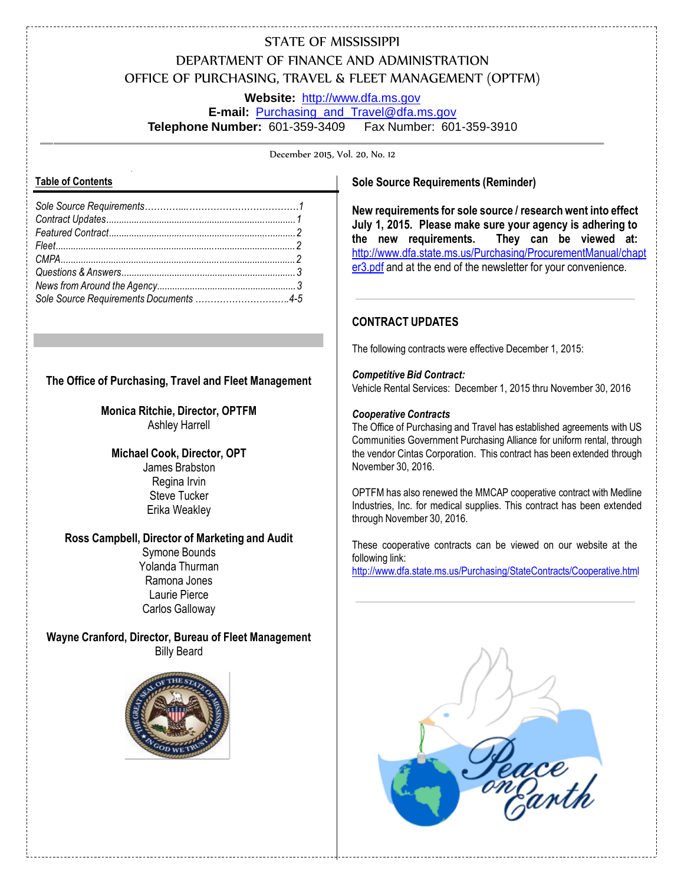# STATE OF MISSISSIPPI DEPARTMENT OF FINANCE AND ADMINISTRATION OFFICE OF PURCHASING, TRAVEL & FLEET MANAGEMENT (OPTFM)

**Website:** [http://www.dfa.ms.gov](http://www.dfa.ms.gov/) **E-mail:** [Purchasing\\_and\\_Travel@dfa.ms.gov](mailto:Purchasing_and_Travel@dfa.ms.gov) **Telephone Number:** 601-359-3409 Fax Number: 601-359-3910

December 2015, Vol. 20, No. 12

### **Table of Contents**

## **The Office of Purchasing, Travel and Fleet Management**

**Monica Ritchie, Director, OPTFM** Ashley Harrell

**Michael Cook, Director, OPT** James Brabston Regina Irvin Steve Tucker Erika Weakley

## **Ross Campbell, Director of Marketing and Audit**

Symone Bounds Yolanda Thurman Ramona Jones Laurie Pierce Carlos Galloway

**Wayne Cranford, Director, Bureau of Fleet Management** Billy Beard



### **Sole Source Requirements (Reminder)**

**New requirements for sole source / research went into effect July 1, 2015. Please make sure your agency is adhering to the new requirements. They can be viewed at:**  [http://www.dfa.state.ms.us/Purchasing/ProcurementManual/chapt](http://www.dfa.state.ms.us/Purchasing/ProcurementManual/chapter3.pdf) [er3.pdf](http://www.dfa.state.ms.us/Purchasing/ProcurementManual/chapter3.pdf) and at the end of the newsletter for your convenience.

## **CONTRACT UPDATES**

The following contracts were effective December 1, 2015:

#### *Competitive Bid Contract:*

Vehicle Rental Services: December 1, 2015 thru November 30, 2016

#### *Cooperative Contracts*

The Office of Purchasing and Travel has established agreements with US Communities Government Purchasing Alliance for uniform rental, through the vendor Cintas Corporation. This contract has been extended through November 30, 2016.

OPTFM has also renewed the MMCAP cooperative contract with Medline Industries, Inc. for medical supplies. This contract has been extended through November 30, 2016.

These cooperative contracts can be viewed on our website at the following link: <http://www.dfa.state.ms.us/Purchasing/StateContracts/Cooperative.html>

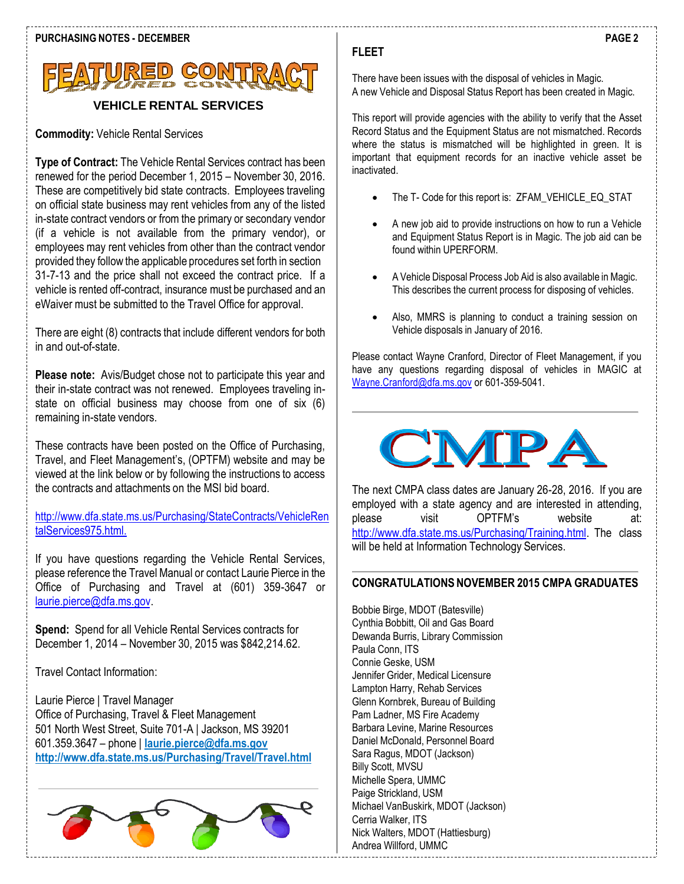

## **VEHICLE RENTAL SERVICES**

**Commodity:** Vehicle Rental Services

**Type of Contract:** The Vehicle Rental Services contract has been renewed for the period December 1, 2015 – November 30, 2016. These are competitively bid state contracts. Employees traveling on official state business may rent vehicles from any of the listed in-state contract vendors or from the primary or secondary vendor (if a vehicle is not available from the primary vendor), or employees may rent vehicles from other than the contract vendor provided they followthe applicable procedures set forth in section 31-7-13 and the price shall not exceed the contract price. If a vehicle is rented off-contract, insurance must be purchased and an eWaiver must be submitted to the Travel Office for approval.

There are eight (8) contracts that include different vendors for both in and out-of-state.

**Please note:** Avis/Budget chose not to participate this year and their in-state contract was not renewed. Employees traveling instate on official business may choose from one of six (6) remaining in-state vendors.

These contracts have been posted on the Office of Purchasing, Travel, and Fleet Management's, (OPTFM) website and may be viewed at the link below or by following the instructions to access the contracts and attachments on the MSI bid board.

<http://www.dfa.state.ms.us/Purchasing/StateContracts/VehicleRen> talServices975.html.

If you have questions regarding the Vehicle Rental Services, please reference the Travel Manual or contact Laurie Pierce in the Office of Purchasing and Travel at (601) 359-3647 or [laurie.pierce@dfa.ms.gov.](mailto:laurie.pierce@dfa.ms.gov)

**Spend:** Spend for all Vehicle Rental Services contracts for December 1, 2014 – November 30, 2015 was \$842,214.62.

Travel Contact Information:

Laurie Pierce | Travel Manager Office of Purchasing, Travel & Fleet Management 501 North West Street, Suite 701-A | Jackson, MS 39201 601.359.3647 – phone | **[laurie.pierce@dfa.ms.gov](mailto:laurie.pierce@dfa.ms.gov) <http://www.dfa.state.ms.us/Purchasing/Travel/Travel.html>**



## **FLEET**

There have been issues with the disposal of vehicles in Magic. A new Vehicle and Disposal Status Report has been created in Magic.

This report will provide agencies with the ability to verify that the Asset Record Status and the Equipment Status are not mismatched. Records where the status is mismatched will be highlighted in green. It is important that equipment records for an inactive vehicle asset be inactivated.

- The T- Code for this report is: ZFAM\_VEHICLE\_EQ\_STAT
- A new job aid to provide instructions on how to run a Vehicle and Equipment Status Report is in Magic. The job aid can be found within UPERFORM.
- A Vehicle Disposal Process Job Aid is also available in Magic. This describes the current process for disposing of vehicles.
- Also, MMRS is planning to conduct a training session on Vehicle disposals in January of 2016.

Please contact Wayne Cranford, Director of Fleet Management, if you have any questions regarding disposal of vehicles in MAGIC at [Wayne.Cranford@dfa.ms.gov](mailto:Wayne.Cranford@dfa.ms.gov) or 601-359-5041.



The next CMPA class dates are January 26-28, 2016. If you are employed with a state agency and are interested in attending, please visit OPTFM's website at: [http://www.dfa.state.ms.us/Purchasing/Training.html.](http://www.dfa.state.ms.us/Purchasing/Training.html) The class will be held at Information Technology Services.

## **CONGRATULATIONS NOVEMBER 2015 CMPA GRADUATES**

Bobbie Birge, MDOT (Batesville) Cynthia Bobbitt, Oil and Gas Board Dewanda Burris, Library Commission Paula Conn, ITS Connie Geske, USM Jennifer Grider, Medical Licensure Lampton Harry, Rehab Services Glenn Kornbrek, Bureau of Building Pam Ladner, MS Fire Academy Barbara Levine, Marine Resources Daniel McDonald, Personnel Board Sara Ragus, MDOT (Jackson) Billy Scott, MVSU Michelle Spera, UMMC Paige Strickland, USM Michael VanBuskirk, MDOT (Jackson) Cerria Walker, ITS Nick Walters, MDOT (Hattiesburg) Andrea Willford, UMMC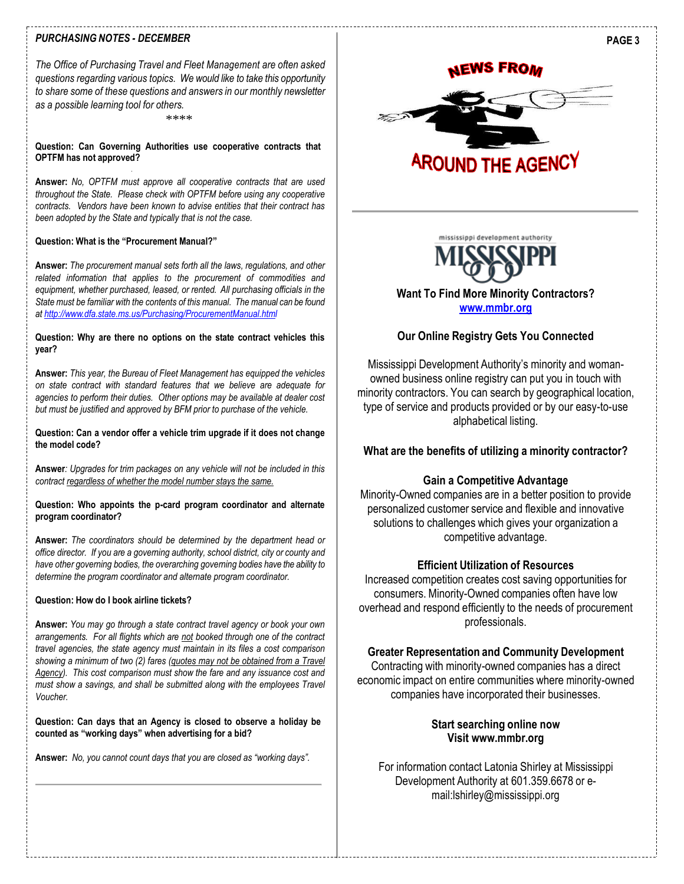#### *PURCHASING NOTES - DECEMBER*

*The Office of Purchasing Travel and Fleet Management are often asked questions regarding various topics. We would like to take this opportunity to share some of these questions and answers in our monthly newsletter as a possible learning tool for others.*

\*\*\*\*

#### **Question: Can Governing Authorities use cooperative contracts that OPTFM has not approved?**

**Answer:** *No, OPTFM must approve all cooperative contracts that are used throughout the State. Please check with OPTFM before using any cooperative contracts. Vendors have been known to advise entities that their contract has been adopted by the State and typically that is not the case.*

#### **Question: What is the "Procurement Manual?"**

**Answer:** *The procurement manual sets forth all the laws, regulations, and other related information that applies to the procurement of commodities and equipment, whether purchased, leased, or rented. All purchasing officials in the State must be familiar with the contents of this manual. The manual can be found at<http://www.dfa.state.ms.us/Purchasing/ProcurementManual.html>*

#### **Question: Why are there no options on the state contract vehicles this year?**

**Answer:** *This year, the Bureau of Fleet Management has equipped the vehicles on state contract with standard features that we believe are adequate for agencies to perform their duties. Other options may be available at dealer cost but must be justified and approved by BFM prior to purchase of the vehicle.*

**Question: Can a vendor offer a vehicle trim upgrade if it does not change the model code?**

**Answer***: Upgrades for trim packages on any vehicle will not be included in this contract regardless of whether the model number stays the same.*

#### **Question: Who appoints the p-card program coordinator and alternate program coordinator?**

**Answer:** *The coordinators should be determined by the department head or office director. If you are a governing authority, school district, city or county and have other governing bodies, the overarching governing bodies have the ability to determine the program coordinator and alternate program coordinator.*

#### **Question: How do I book airline tickets?**

**Answer:** *You may go through a state contract travel agency or book your own arrangements. For all flights which are not booked through one of the contract travel agencies, the state agency must maintain in its files a cost comparison showing a minimum of two (2) fares (quotes may not be obtained from a Travel Agency). This cost comparison must show the fare and any issuance cost and must show a savings, and shall be submitted along with the employees Travel Voucher.*

**Question: Can days that an Agency is closed to observe a holiday be counted as "working days" when advertising for a bid?**

**Answer:** *No, you cannot count days that you are closed as "working days".*

## **NEWS FROM**



mississippi development authority



## **Want To Find More Minority Contractors? [www.mmbr.org](http://www.mmbr.org/)**

## **Our Online Registry Gets You Connected**

Mississippi Development Authority's minority and womanowned business online registry can put you in touch with minority contractors. You can search by geographical location, type of service and products provided or by our easy-to-use alphabetical listing.

**What are the benefits of utilizing a minority contractor?**

#### **Gain a Competitive Advantage**

Minority-Owned companies are in a better position to provide personalized customer service and flexible and innovative solutions to challenges which gives your organization a competitive advantage.

#### **Efficient Utilization of Resources**

Increased competition creates cost saving opportunities for consumers. Minority-Owned companies often have low overhead and respond efficiently to the needs of procurement professionals.

#### **Greater Representation and Community Development**

Contracting with minority-owned companies has a direct economic impact on entire communities where minority-owned companies have incorporated their businesses.

## **Start searching online now Visit [www.mmbr.org](http://www.mmbr.org/)**

For information contact Latonia Shirley at Mississippi Development Authority at 601.359.6678 or [e](mailto:lshirley@mississippi.org)[mail:lshirley@mississippi.org](mailto:lshirley@mississippi.org)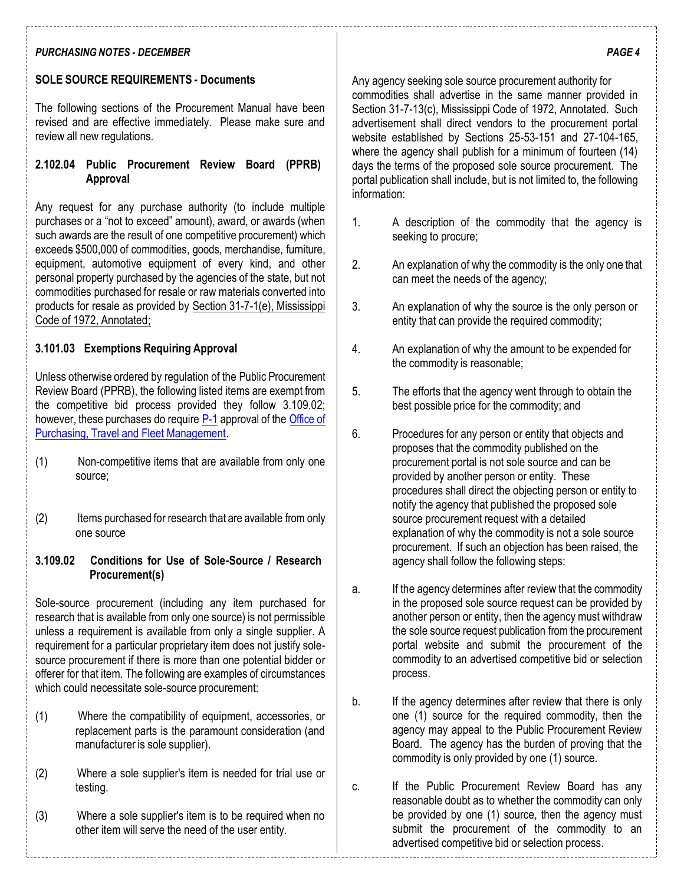## *PURCHASING NOTES - DECEMBER*

## **SOLE SOURCE REQUIREMENTS - Documents**

The following sections of the Procurement Manual have been revised and are effective immediately. Please make sure and review all new regulations.

## **2.102.04 Public Procurement Review Board (PPRB) Approval**

Any request for any purchase authority (to include multiple purchases or a "not to exceed" amount), award, or awards (when such awards are the result of one competitive procurement) which exceeds \$500,000 of commodities, goods, merchandise, furniture, equipment, automotive equipment of every kind, and other personal property purchased by the agencies of the state, but not commodities purchased for resale or raw materials converted into products for resale as provided by Section 31-7-1(e), [Mississippi](http://www.lexisnexis.com/hottopics/mscode/) Code of 1972, [Annotated;](http://www.lexisnexis.com/hottopics/mscode/)

## **3.101.03 Exemptions Requiring Approval**

Unless otherwise ordered by regulation of the Public Procurement Review Board (PPRB), the following listed items are exempt from the competitive bid process provided they follow 3.109.02; however, these purchases do require [P-1](http://www.dfa.state.ms.us/Purchasing/Forms/P1Webprocure.pdf) approval of the [Office](http://www.dfa.state.ms.us/Purchasing/Home.html) of Purchasing, Travel and Fleet [Management.](http://www.dfa.state.ms.us/Purchasing/Home.html)

- (1) Non-competitive items that are available from only one source;
- (2) Items purchased for research that are available from only one source

## **3.109.02 Conditions for Use of Sole-Source / Research Procurement(s)**

Sole-source procurement (including any item purchased for research that is available from only one source) is not permissible unless a requirement is available from only a single supplier. A requirement for a particular proprietary item does not justify solesource procurement if there is more than one potential bidder or offerer for that item. The following are examples of circumstances which could necessitate sole-source procurement:

- (1) Where the compatibility of equipment, accessories, or replacement parts is the paramount consideration (and manufacturer is sole supplier).
- (2) Where a sole supplier's item is needed for trial use or testing.
- (3) Where a sole supplier's item is to be required when no other item will serve the need of the user entity.

Any agency seeking sole source procurement authority for commodities shall advertise in the same manner provided in Section 31-7-13(c), Mississippi Code of 1972, Annotated. Such advertisement shall direct vendors to the procurement portal website established by Sections 25-53-151 and 27-104-165, where the agency shall publish for a minimum of fourteen (14) days the terms of the proposed sole source procurement. The portal publication shall include, but is not limited to, the following information:

- 1. A description of the commodity that the agency is seeking to procure:
- 2. An explanation of why the commodity is the only one that can meet the needs of the agency;
- 3. An explanation of why the source is the only person or entity that can provide the required commodity;
- 4. An explanation of why the amount to be expended for the commodity is reasonable;
- 5. The efforts that the agency went through to obtain the best possible price for the commodity; and
- 6. Procedures for any person or entity that objects and proposes that the commodity published on the procurement portal is not sole source and can be provided by another person or entity. These procedures shall direct the objecting person or entity to notify the agency that published the proposed sole source procurement request with a detailed explanation of why the commodity is not a sole source procurement. If such an objection has been raised, the agency shall follow the following steps:
- a. If the agency determines after review that the commodity in the proposed sole source request can be provided by another person or entity, then the agency must withdraw the sole source request publication from the procurement portal website and submit the procurement of the commodity to an advertised competitive bid or selection process.
- b. If the agency determines after review that there is only one (1) source for the required commodity, then the agency may appeal to the Public Procurement Review Board. The agency has the burden of proving that the commodity is only provided by one (1) source.
- c. If the Public Procurement Review Board has any reasonable doubt as to whether the commodity can only be provided by one (1) source, then the agency must submit the procurement of the commodity to an advertised competitive bid or selection process.